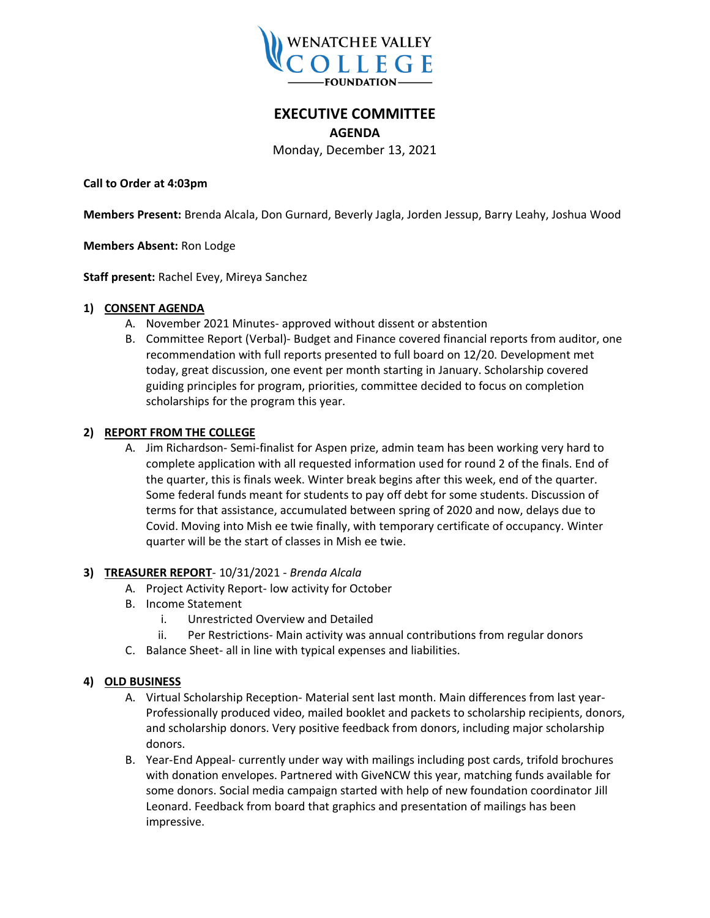

# **EXECUTIVE COMMITTEE**

**AGENDA**

Monday, December 13, 2021

**Call to Order at 4:03pm**

**Members Present:** Brenda Alcala, Don Gurnard, Beverly Jagla, Jorden Jessup, Barry Leahy, Joshua Wood

**Members Absent:** Ron Lodge

**Staff present:** Rachel Evey, Mireya Sanchez

#### **1) CONSENT AGENDA**

- A. November 2021 Minutes- approved without dissent or abstention
- B. Committee Report (Verbal)- Budget and Finance covered financial reports from auditor, one recommendation with full reports presented to full board on 12/20. Development met today, great discussion, one event per month starting in January. Scholarship covered guiding principles for program, priorities, committee decided to focus on completion scholarships for the program this year.

### **2) REPORT FROM THE COLLEGE**

A. Jim Richardson- Semi-finalist for Aspen prize, admin team has been working very hard to complete application with all requested information used for round 2 of the finals. End of the quarter, this is finals week. Winter break begins after this week, end of the quarter. Some federal funds meant for students to pay off debt for some students. Discussion of terms for that assistance, accumulated between spring of 2020 and now, delays due to Covid. Moving into Mish ee twie finally, with temporary certificate of occupancy. Winter quarter will be the start of classes in Mish ee twie.

### **3) TREASURER REPORT**- 10/31/2021 - *Brenda Alcala*

- A. Project Activity Report- low activity for October
- B. Income Statement
	- i. Unrestricted Overview and Detailed
	- ii. Per Restrictions- Main activity was annual contributions from regular donors
- C. Balance Sheet- all in line with typical expenses and liabilities.

### **4) OLD BUSINESS**

- A. Virtual Scholarship Reception- Material sent last month. Main differences from last year-Professionally produced video, mailed booklet and packets to scholarship recipients, donors, and scholarship donors. Very positive feedback from donors, including major scholarship donors.
- B. Year-End Appeal- currently under way with mailings including post cards, trifold brochures with donation envelopes. Partnered with GiveNCW this year, matching funds available for some donors. Social media campaign started with help of new foundation coordinator Jill Leonard. Feedback from board that graphics and presentation of mailings has been impressive.